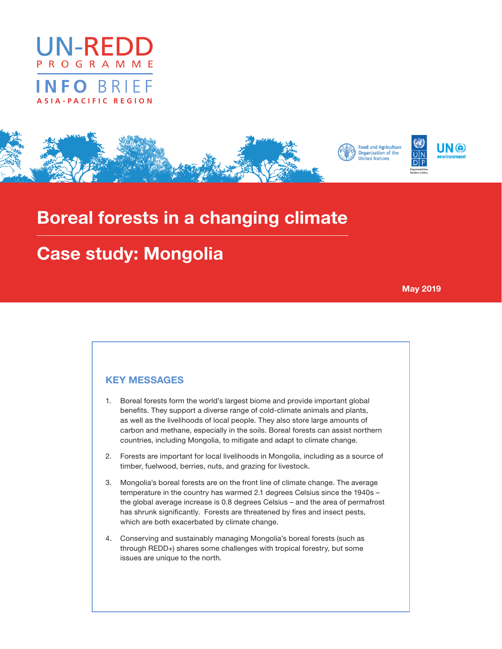

# **INFO** BRIEF **ASIA-PACIFIC REGION**



# Boreal forests in a changing climate

# Case study: Mongolia

May 2019

### KEY MESSAGES

- 1. Boreal forests form the world's largest biome and provide important global benefits. They support a diverse range of cold-climate animals and plants, as well as the livelihoods of local people. They also store large amounts of carbon and methane, especially in the soils. Boreal forests can assist northern countries, including Mongolia, to mitigate and adapt to climate change.
- 2. Forests are important for local livelihoods in Mongolia, including as a source of timber, fuelwood, berries, nuts, and grazing for livestock.
- 3. Mongolia's boreal forests are on the front line of climate change. The average temperature in the country has warmed 2.1 degrees Celsius since the 1940s – the global average increase is 0.8 degrees Celsius – and the area of permafrost has shrunk significantly. Forests are threatened by fires and insect pests, which are both exacerbated by climate change.
- 4. Conserving and sustainably managing Mongolia's boreal forests (such as through REDD+) shares some challenges with tropical forestry, but some issues are unique to the north.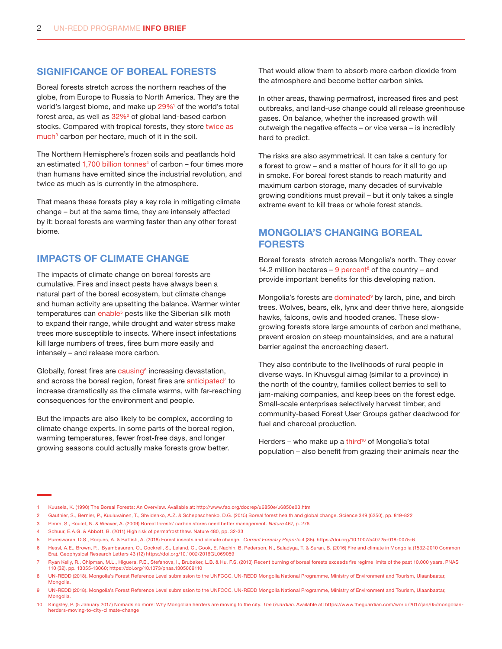#### SIGNIFICANCE OF BOREAL FORESTS

Boreal forests stretch across the northern reaches of the globe, from Europe to Russia to North America. They are the world's largest biome, and make up 29%<sup>1</sup> of the world's total forest area, as well as 32%<sup>2</sup> of global land-based carbon stocks. Compared with tropical forests, they store twice as much<sup>3</sup> carbon per hectare, much of it in the soil.

The Northern Hemisphere's frozen soils and peatlands hold an estimated 1,700 billion tonnes<sup>4</sup> of carbon – four times more than humans have emitted since the industrial revolution, and twice as much as is currently in the atmosphere.

That means these forests play a key role in mitigating climate change – but at the same time, they are intensely affected by it: boreal forests are warming faster than any other forest biome.

### IMPACTS OF CLIMATE CHANGE

The impacts of climate change on boreal forests are cumulative. Fires and insect pests have always been a natural part of the boreal ecosystem, but climate change and human activity are upsetting the balance. Warmer winter temperatures can enable<sup>5</sup> pests like the Siberian silk moth to expand their range, while drought and water stress make trees more susceptible to insects. Where insect infestations kill large numbers of trees, fires burn more easily and intensely – and release more carbon.

Globally, forest fires are causing<sup>6</sup> increasing devastation, and across the boreal region, forest fires are [anticipated](http://www.pnas.org/content/110/32/13055)<sup>7</sup> to increase dramatically as the climate warms, with far-reaching consequences for the environment and people.

But the impacts are also likely to be complex, according to climate change experts. In some parts of the boreal region, warming temperatures, fewer frost-free days, and longer growing seasons could actually make forests grow better.

That would allow them to absorb more carbon dioxide from the atmosphere and become better carbon sinks.

In other areas, thawing permafrost, increased fires and pest outbreaks, and land-use change could all release greenhouse gases. On balance, whether the increased growth will outweigh the negative effects – or vice versa – is incredibly hard to predict.

The risks are also asymmetrical. It can take a century for a forest to grow – and a matter of hours for it all to go up in smoke. For boreal forest stands to reach maturity and maximum carbon storage, many decades of survivable growing conditions must prevail – but it only takes a single extreme event to kill trees or whole forest stands.

## MONGOLIA'S CHANGING BOREAL FORESTS

Boreal forests stretch across Mongolia's north. They cover 14.2 million hectares  $-9$  percent<sup>8</sup> of the country  $-$  and provide important benefits for this developing nation.

Mongolia's forests are dominated<sup>9</sup> by larch, pine, and birch trees. Wolves, bears, elk, lynx and deer thrive here, alongside hawks, falcons, owls and hooded cranes. These slowgrowing forests store large amounts of carbon and methane, prevent erosion on steep mountainsides, and are a natural barrier against the encroaching desert.

They also contribute to the livelihoods of rural people in diverse ways. In Khuvsgul aimag (similar to a province) in the north of the country, families collect berries to sell to jam-making companies, and keep bees on the forest edge. Small-scale enterprises selectively harvest timber, and community-based Forest User Groups gather deadwood for fuel and charcoal production.

Herders – who make up a [third](https://www.theguardian.com/world/2017/jan/05/mongolian-herders-moving-to-city-climate-change)<sup>10</sup> of Mongolia's total population – also benefit from grazing their animals near the

- 2 Gauthier, S., Bernier, P., Kuuluvainen, T., Shvidenko, A.Z. & Schepaschenko, D.G. (2015) Boreal forest health and global change. Science 349 (6250), pp. 819-822
- 3 Pimm, S., Roulet, N. & Weaver, A. (2009) Boreal forests' carbon stores need better management. Nature 467, p. 276
- 4 Schuur, E.A.G. & Abbott, B. (2011) High risk of permafrost thaw. Nature 480, pp. 32-33
- 5 Pureswaran, D.S., Roques, A. & Battisti, A. (2018) Forest insects and climate change. Current Forestry Reports 4 (35). https://doi.org/10.1007/s40725-018-0075-6
- 6 Hessl, A.E., Brown, P., Byambasuren, O., Cockrell, S., Leland, C., Cook, E. Nachin, B. Pederson, N., Saladyga, T. & Suran, B. (2016) Fire and climate in Mongolia (1532-2010 Common Era). Geophysical Research Letters 43 (12) https://doi.org/10.1002/2016GL069059

<sup>1</sup> Kuusela, K. (1990) The Boreal Forests: An Overview. Available at: http://www.fao.org/docrep/u6850e/u6850e03.htm

<sup>7</sup> Ryan Kelly, R., Chipman, M.L., Higuera, P.E., Stefanova, I., Brubaker, L.B. & Hu, F.S. (2013) Recent burning of boreal forests exceeds fire regime limits of the past 10,000 years. PNAS 110 (32), pp. 13055-13060; https://doi.org/10.1073/pnas.1305069110

<sup>8</sup> UN‐REDD (2018). Mongolia's Forest Reference Level submission to the UNFCCC. UN‐REDD Mongolia National Programme, Ministry of Environment and Tourism, Ulaanbaatar, Mongolia.

<sup>9</sup> UN-REDD (2018). Mongolia's Forest Reference Level submission to the UNFCCC. UN-REDD Mongolia National Programme, Ministry of Environment and Tourism, Ulaanbaatar, **Mongolia** 

<sup>10</sup> Kingsley, P. (5 January 2017) Nomads no more: Why Mongolian herders are moving to the city. The Guardian. Available at: https://www.theguardian.com/world/2017/jan/05/mongolianherders-moving-to-city-climate-change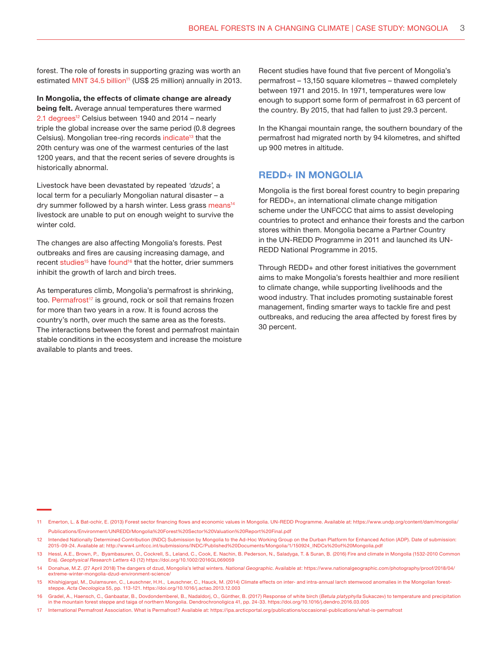forest. The role of forests in supporting grazing was worth an estimated MNT 34.5 billion<sup>11</sup> (US\$ 25 million) annually in 2013.

In Mongolia, the effects of climate change are already being felt. Average annual temperatures there warmed 2.1 degrees<sup>12</sup> Celsius between 1940 and 2014 – nearly triple the global increase over the same period (0.8 degrees Celsius). Mongolian tree-ring records [indicate](https://agupubs.onlinelibrary.wiley.com/doi/full/10.1002/2016GL069059)<sup>13</sup> that the 20th century was one of the warmest centuries of the last 1200 years, and that the recent series of severe droughts is historically abnormal.

Livestock have been devastated by repeated 'dzuds', a local term for a peculiarly Mongolian natural disaster – a dry summer followed by a harsh winter. Less grass [means](https://www.nationalgeographic.com/photography/proof/2018/04/extreme-winter-mongolia-dzud-environment-science/)<sup>14</sup> livestock are unable to put on enough weight to survive the winter cold.

The changes are also affecting Mongolia's forests. Pest outbreaks and fires are causing increasing damage, and recent [studies](https://www.sciencedirect.com/science/article/pii/S1146609X13001975)<sup>15</sup> have [found](https://www.sciencedirect.com/science/article/pii/S112578651630025X)<sup>16</sup> that the hotter, drier summers inhibit the growth of larch and birch trees.

As temperatures climb, Mongolia's permafrost is shrinking, too. [Permafrost](https://ipa.arcticportal.org/publications/occasional-publications/what-is-permafrost)<sup>17</sup> is ground, rock or soil that remains frozen for more than two years in a row. It is found across the country's north, over much the same area as the forests. The interactions between the forest and permafrost maintain stable conditions in the ecosystem and increase the moisture available to plants and trees.

Recent studies have found that five percent of Mongolia's permafrost – 13,150 square kilometres – thawed completely between 1971 and 2015. In 1971, temperatures were low enough to support some form of permafrost in 63 percent of the country. By 2015, that had fallen to just 29.3 percent.

In the Khangai mountain range, the southern boundary of the permafrost had migrated north by 94 kilometres, and shifted up 900 metres in altitude.

#### REDD+ IN MONGOLIA

Mongolia is the first boreal forest country to begin preparing for REDD+, an international climate change mitigation scheme under the UNFCCC that aims to assist developing countries to protect and enhance their forests and the carbon stores within them. Mongolia became a Partner Country in the UN-REDD Programme in 2011 and launched its UN-REDD National Programme in 2015.

Through REDD+ and other forest initiatives the government aims to make Mongolia's forests healthier and more resilient to climate change, while supporting livelihoods and the wood industry. That includes promoting sustainable forest management, finding smarter ways to tackle fire and pest outbreaks, and reducing the area affected by forest fires by 30 percent.

<sup>11</sup> Emerton, L. & Bat-ochir, E. (2013) Forest sector financing flows and economic values in Mongolia. UN-REDD Programme. Available at: [https://www.undp.org/content/dam/mongolia/](https://www.undp.org/content/dam/mongolia/Publications/Environment/UNREDD/Mongolia%20Forest%20Sector%20Valuation%20Report%20Final.pdf) [Publications/Environment/UNREDD/Mongolia%20Forest%20Sector%20Valuation%20Report%20Final.pdf](https://www.undp.org/content/dam/mongolia/Publications/Environment/UNREDD/Mongolia%20Forest%20Sector%20Valuation%20Report%20Final.pdf)

<sup>12</sup> Intended Nationally Determined Contribution (INDC) Submission by Mongolia to the Ad-Hoc Working Group on the Durban Platform for Enhanced Action (ADP). Date of submission: 2015-09-24. Available at: http://www4.unfccc.int/submissions/INDC/Published%20Documents/Mongolia/1/150924\_INDCs%20of%20Mongolia.pdf

<sup>13</sup> Hessl, A.E., Brown, P., Byambasuren, O., Cockrell, S., Leland, C., Cook, E. Nachin, B. Pederson, N., Saladyga, T. & Suran, B. (2016) Fire and climate in Mongolia (1532-2010 Common Era). Geophysical Research Letters 43 (12) https://doi.org/10.1002/2016GL069059

<sup>14</sup> Donahue, M.Z. (27 April 2018) The dangers of dzud, Mongolia's lethal winters. National Geographic. Available at: [https://www.nationalgeographic.com/photography/proof/2018/04/](https://www.nationalgeographic.com/photography/proof/2018/04/extreme-winter-mongolia-dzud-environment-science/) [extreme-winter-mongolia-dzud-environment-science/](https://www.nationalgeographic.com/photography/proof/2018/04/extreme-winter-mongolia-dzud-environment-science/)

<sup>15</sup> Khishigjargal, M., Dulamsuren, C., Leuschner, H.H., Leuschner, C., Hauck, M. (2014) Climate effects on inter- and intra-annual larch stemwood anomalies in the Mongolian foreststeppe. Acta Oecologica 55, pp. 113-121. https://doi.org/10.1016/j.actao.2013.12.003

<sup>16</sup> Gradel, A., Haensch, C., Ganbaatar, B., Dovdondemberel, B., Nadaldorj, O., Günther, B. (2017) Response of white birch (Betula platyphylla Sukaczev) to temperature and precipitation in the mountain forest steppe and taiga of northern Mongolia. Dendrochronoligica 41, pp. 24-33. https://doi.org/10.1016/j.dendro.2016.03.005

<sup>17</sup> International Permafrost Association. What is Permafrost? Available at: https://ipa.arcticportal.org/publications/occasional-publications/what-is-permafrost